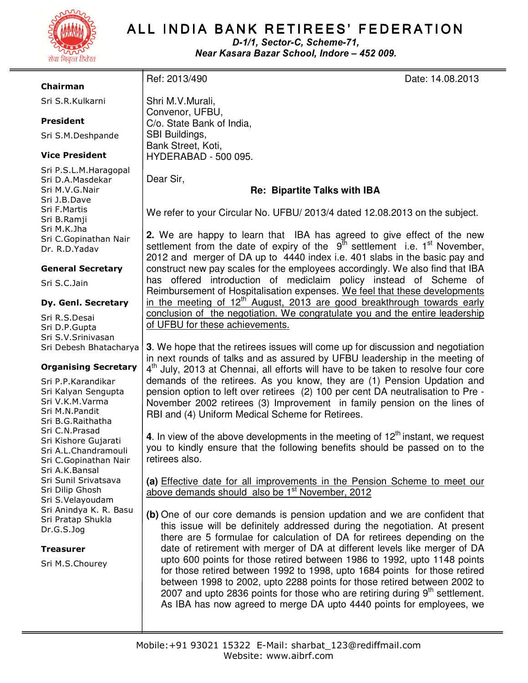

# ALL INDIA BANK RETIREES' FEDERATION

D-1/1, Sector-C, Scheme-71, Near Kasara Bazar School, Indore – 452 009.

### Chairman

Sri S.R.Kulkarni

## President

Sri S.M.Deshpande

## Vice President

Sri P.S.L.M.Haragopal Sri D.A.Masdekar Sri M.V.G.Nair Sri J.B.Dave Sri F.Martis Sri B.Ramji Sri M.K.Jha Sri C.Gopinathan Nair Dr. R.D.Yadav

#### General Secretary

Sri S.C.Jain

#### Dy. Genl. Secretary

Sri R.S.Desai Sri D.P.Gupta Sri S.V.Srinivasan Sri Debesh Bhatacharya

## Organising Secretary

Sri P.P.Karandikar Sri Kalyan Sengupta Sri V.K.M.Varma Sri M.N.Pandit Sri B.G.Raithatha Sri C.N.Prasad Sri Kishore Gujarati Sri A.L.Chandramouli Sri C.Gopinathan Nair Sri A.K.Bansal Sri Sunil Srivatsava Sri Dilip Ghosh Sri S.Velayoudam Sri Anindya K. R. Basu Sri Pratap Shukla Dr.G.S.Jog

#### Treasurer

Sri M.S.Chourey

Shri M.V.Murali, Convenor, UFBU, C/o. State Bank of India, SBI Buildings, Bank Street, Koti, HYDERABAD - 500 095.

Dear Sir,

# **Re: Bipartite Talks with IBA**

We refer to your Circular No. UFBU/ 2013/4 dated 12.08.2013 on the subject.

**2.** We are happy to learn that IBA has agreed to give effect of the new settlement from the date of expiry of the  $9<sup>th</sup>$  settlement i.e. 1<sup>st</sup> November, 2012 and merger of DA up to 4440 index i.e. 401 slabs in the basic pay and construct new pay scales for the employees accordingly. We also find that IBA has offered introduction of mediclaim policy instead of Scheme of Reimbursement of Hospitalisation expenses. We feel that these developments in the meeting of  $12<sup>th</sup>$  August, 2013 are good breakthrough towards early conclusion of the negotiation. We congratulate you and the entire leadership of UFBU for these achievements.

**3**. We hope that the retirees issues will come up for discussion and negotiation in next rounds of talks and as assured by UFBU leadership in the meeting of 4<sup>th</sup> July, 2013 at Chennai, all efforts will have to be taken to resolve four core demands of the retirees. As you know, they are (1) Pension Updation and pension option to left over retirees (2) 100 per cent DA neutralisation to Pre - November 2002 retirees (3) Improvement in family pension on the lines of RBI and (4) Uniform Medical Scheme for Retirees.

**4.** In view of the above developments in the meeting of  $12<sup>th</sup>$  instant, we request you to kindly ensure that the following benefits should be passed on to the retirees also.

**(a)** Effective date for all improvements in the Pension Scheme to meet our above demands should also be  $1<sup>st</sup>$  November, 2012

**(b)** One of our core demands is pension updation and we are confident that this issue will be definitely addressed during the negotiation. At present there are 5 formulae for calculation of DA for retirees depending on the date of retirement with merger of DA at different levels like merger of DA upto 600 points for those retired between 1986 to 1992, upto 1148 points for those retired between 1992 to 1998, upto 1684 points for those retired between 1998 to 2002, upto 2288 points for those retired between 2002 to 2007 and upto 2836 points for those who are retiring during  $9<sup>th</sup>$  settlement. As IBA has now agreed to merge DA upto 4440 points for employees, we

Ref: 2013/490 Date: 14.08.2013